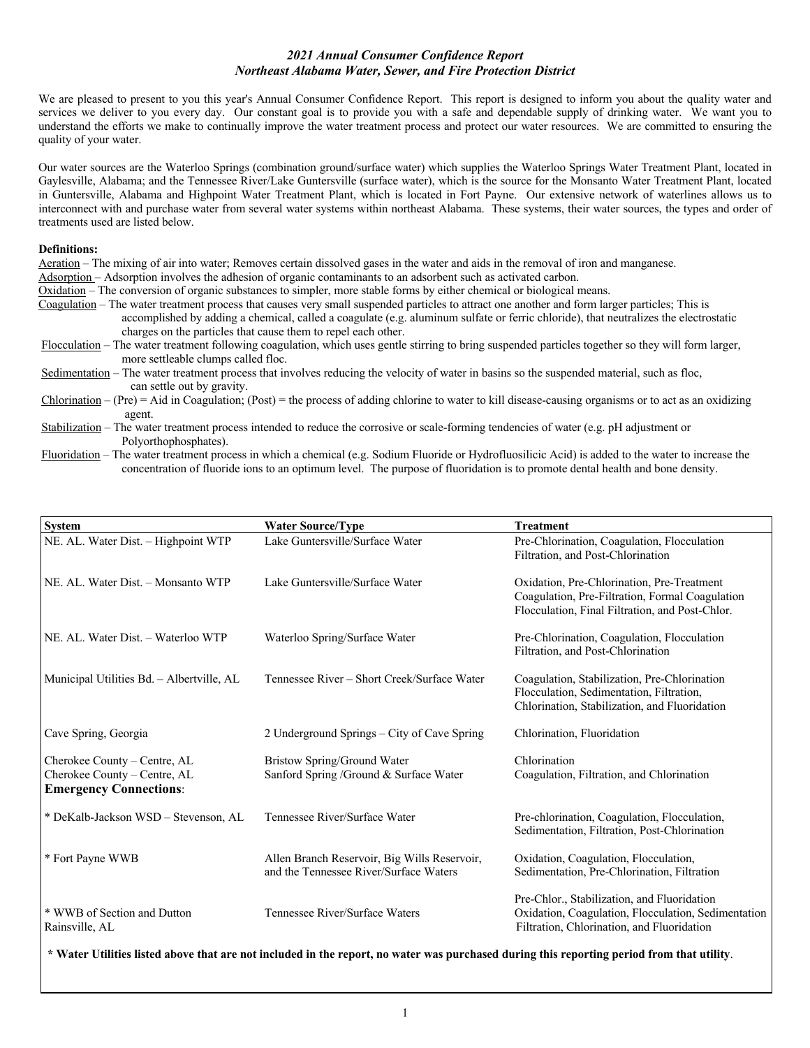## *2021 Annual Consumer Confidence Report Northeast Alabama Water, Sewer, and Fire Protection District*

We are pleased to present to you this year's Annual Consumer Confidence Report. This report is designed to inform you about the quality water and services we deliver to you every day. Our constant goal is to provide you with a safe and dependable supply of drinking water. We want you to understand the efforts we make to continually improve the water treatment process and protect our water resources. We are committed to ensuring the quality of your water.

Our water sources are the Waterloo Springs (combination ground/surface water) which supplies the Waterloo Springs Water Treatment Plant, located in Gaylesville, Alabama; and the Tennessee River/Lake Guntersville (surface water), which is the source for the Monsanto Water Treatment Plant, located in Guntersville, Alabama and Highpoint Water Treatment Plant, which is located in Fort Payne. Our extensive network of waterlines allows us to interconnect with and purchase water from several water systems within northeast Alabama. These systems, their water sources, the types and order of treatments used are listed below.

### **Definitions:**

Aeration – The mixing of air into water; Removes certain dissolved gases in the water and aids in the removal of iron and manganese.

Adsorption – Adsorption involves the adhesion of organic contaminants to an adsorbent such as activated carbon.

Oxidation – The conversion of organic substances to simpler, more stable forms by either chemical or biological means.

Coagulation – The water treatment process that causes very small suspended particles to attract one another and form larger particles; This is

 accomplished by adding a chemical, called a coagulate (e.g. aluminum sulfate or ferric chloride), that neutralizes the electrostatic charges on the particles that cause them to repel each other.

Flocculation – The water treatment following coagulation, which uses gentle stirring to bring suspended particles together so they will form larger, more settleable clumps called floc.

Sedimentation – The water treatment process that involves reducing the velocity of water in basins so the suspended material, such as floc, can settle out by gravity.

 $Chlorination - (Pre) = Aid$  in Coagulation; (Post) = the process of adding chlorine to water to kill disease-causing organisms or to act as an oxidizing agent.

Fluoridation – The water treatment process in which a chemical (e.g. Sodium Fluoride or Hydrofluosilicic Acid) is added to the water to increase the concentration of fluoride ions to an optimum level. The purpose of fluoridation is to promote dental health and bone density.

| <b>System</b>                                                                                 | <b>Water Source/Type</b>                                                               | <b>Treatment</b>                                                                                                                                 |
|-----------------------------------------------------------------------------------------------|----------------------------------------------------------------------------------------|--------------------------------------------------------------------------------------------------------------------------------------------------|
| NE. AL. Water Dist. - Highpoint WTP                                                           | Lake Guntersville/Surface Water                                                        | Pre-Chlorination, Coagulation, Flocculation<br>Filtration, and Post-Chlorination                                                                 |
| NE. AL. Water Dist. - Monsanto WTP                                                            | Lake Guntersville/Surface Water                                                        | Oxidation, Pre-Chlorination, Pre-Treatment<br>Coagulation, Pre-Filtration, Formal Coagulation<br>Flocculation, Final Filtration, and Post-Chlor. |
| NE. AL. Water Dist. - Waterloo WTP                                                            | Waterloo Spring/Surface Water                                                          | Pre-Chlorination, Coagulation, Flocculation<br>Filtration, and Post-Chlorination                                                                 |
| Municipal Utilities Bd. - Albertville, AL                                                     | Tennessee River – Short Creek/Surface Water                                            | Coagulation, Stabilization, Pre-Chlorination<br>Flocculation, Sedimentation, Filtration,<br>Chlorination, Stabilization, and Fluoridation        |
| Cave Spring, Georgia                                                                          | 2 Underground Springs - City of Cave Spring                                            | Chlorination, Fluoridation                                                                                                                       |
| Cherokee County – Centre, AL<br>Cherokee County - Centre, AL<br><b>Emergency Connections:</b> | Bristow Spring/Ground Water<br>Sanford Spring /Ground & Surface Water                  | Chlorination<br>Coagulation, Filtration, and Chlorination                                                                                        |
| * DeKalb-Jackson WSD - Stevenson, AL                                                          | Tennessee River/Surface Water                                                          | Pre-chlorination, Coagulation, Flocculation,<br>Sedimentation, Filtration, Post-Chlorination                                                     |
| * Fort Payne WWB                                                                              | Allen Branch Reservoir, Big Wills Reservoir,<br>and the Tennessee River/Surface Waters | Oxidation, Coagulation, Flocculation,<br>Sedimentation, Pre-Chlorination, Filtration                                                             |
| * WWB of Section and Dutton<br>Rainsville, AL                                                 | Tennessee River/Surface Waters                                                         | Pre-Chlor., Stabilization, and Fluoridation<br>Oxidation, Coagulation, Flocculation, Sedimentation<br>Filtration, Chlorination, and Fluoridation |

**\* Water Utilities listed above that are not included in the report, no water was purchased during this reporting period from that utility**.

Stabilization – The water treatment process intended to reduce the corrosive or scale-forming tendencies of water (e.g. pH adjustment or Polyorthophosphates).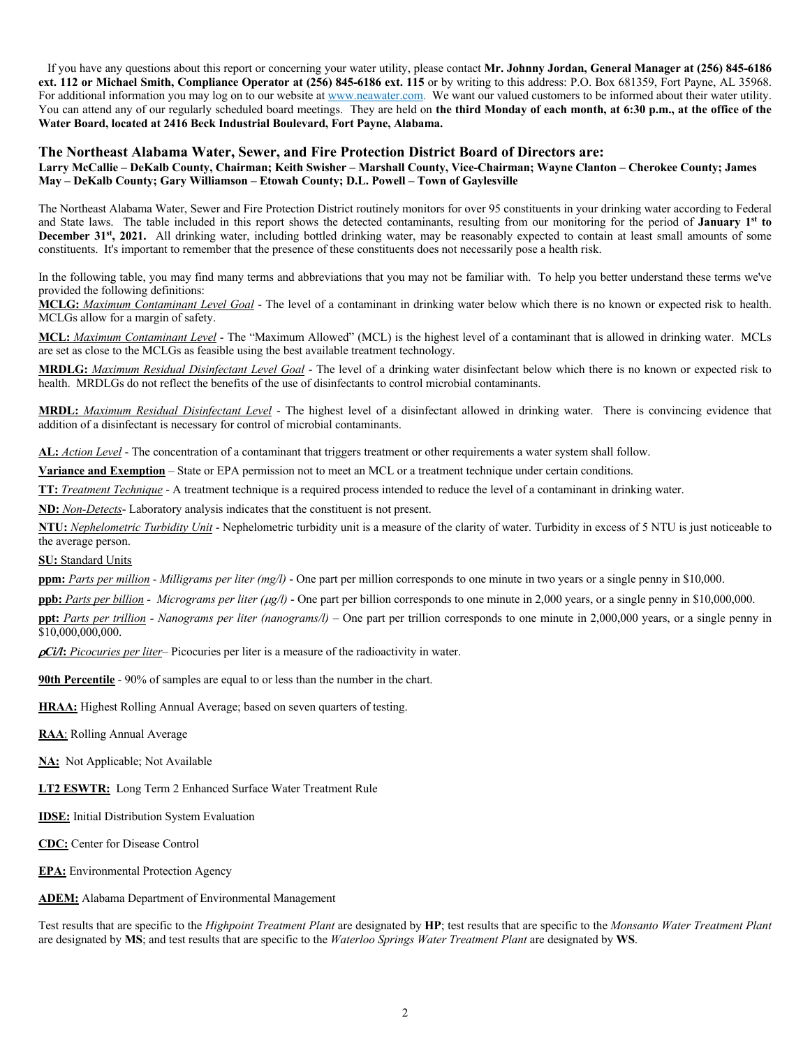If you have any questions about this report or concerning your water utility, please contact **Mr. Johnny Jordan, General Manager at (256) 845-6186 ext. 112 or Michael Smith, Compliance Operator at (256) 845-6186 ext. 115** or by writing to this address: P.O. Box 681359, Fort Payne, AL 35968. For additional information you may log on to our website at www.neawater.com. We want our valued customers to be informed about their water utility. You can attend any of our regularly scheduled board meetings. They are held on the third Monday of each month, at 6:30 p.m., at the office of the **Water Board, located at 2416 Beck Industrial Boulevard, Fort Payne, Alabama.**

### **The Northeast Alabama Water, Sewer, and Fire Protection District Board of Directors are:**

### **Larry McCallie – DeKalb County, Chairman; Keith Swisher – Marshall County, Vice-Chairman; Wayne Clanton – Cherokee County; James May – DeKalb County; Gary Williamson – Etowah County; D.L. Powell – Town of Gaylesville**

The Northeast Alabama Water, Sewer and Fire Protection District routinely monitors for over 95 constituents in your drinking water according to Federal and State laws. The table included in this report shows the detected contaminants, resulting from our monitoring for the period of **January 1st** to **December 31st, 2021.** All drinking water, including bottled drinking water, may be reasonably expected to contain at least small amounts of some constituents. It's important to remember that the presence of these constituents does not necessarily pose a health risk.

In the following table, you may find many terms and abbreviations that you may not be familiar with. To help you better understand these terms we've provided the following definitions:

**MCLG:** *Maximum Contaminant Level Goal* - The level of a contaminant in drinking water below which there is no known or expected risk to health. MCLGs allow for a margin of safety.

**MCL:** *Maximum Contaminant Level* - The "Maximum Allowed" (MCL) is the highest level of a contaminant that is allowed in drinking water. MCLs are set as close to the MCLGs as feasible using the best available treatment technology.

**MRDLG:** *Maximum Residual Disinfectant Level Goal* - The level of a drinking water disinfectant below which there is no known or expected risk to health. MRDLGs do not reflect the benefits of the use of disinfectants to control microbial contaminants.

**MRDL:** *Maximum Residual Disinfectant Level* - The highest level of a disinfectant allowed in drinking water. There is convincing evidence that addition of a disinfectant is necessary for control of microbial contaminants.

**AL:** *Action Level* - The concentration of a contaminant that triggers treatment or other requirements a water system shall follow.

**Variance and Exemption** – State or EPA permission not to meet an MCL or a treatment technique under certain conditions.

**TT:** *Treatment Technique* - A treatment technique is a required process intended to reduce the level of a contaminant in drinking water.

**ND:** *Non-Detects*- Laboratory analysis indicates that the constituent is not present.

**NTU:** *Nephelometric Turbidity Unit* - Nephelometric turbidity unit is a measure of the clarity of water. Turbidity in excess of 5 NTU is just noticeable to the average person.

**SU:** Standard Units

**ppm:** *Parts per million - Milligrams per liter (mg/l)* - One part per million corresponds to one minute in two years or a single penny in \$10,000.

**ppb:** *Parts per billion - Micrograms per liter (*µ*g/l)* - One part per billion corresponds to one minute in 2,000 years, or a single penny in \$10,000,000.

**ppt:** *Parts per trillion - Nanograms per liter (nanograms/l)* – One part per trillion corresponds to one minute in 2,000,000 years, or a single penny in \$10,000,000,000.

*pCi/l*: *Picocuries per liter*– Picocuries per liter is a measure of the radioactivity in water.

**90th Percentile** - 90% of samples are equal to or less than the number in the chart.

**HRAA:** Highest Rolling Annual Average; based on seven quarters of testing.

**RAA**: Rolling Annual Average

**NA:** Not Applicable; Not Available

**LT2 ESWTR:** Long Term 2 Enhanced Surface Water Treatment Rule

**IDSE:** Initial Distribution System Evaluation

**CDC:** Center for Disease Control

**EPA:** Environmental Protection Agency

**ADEM:** Alabama Department of Environmental Management

Test results that are specific to the *Highpoint Treatment Plant* are designated by **HP**; test results that are specific to the *Monsanto Water Treatment Plant*  are designated by **MS**; and test results that are specific to the *Waterloo Springs Water Treatment Plant* are designated by **WS**.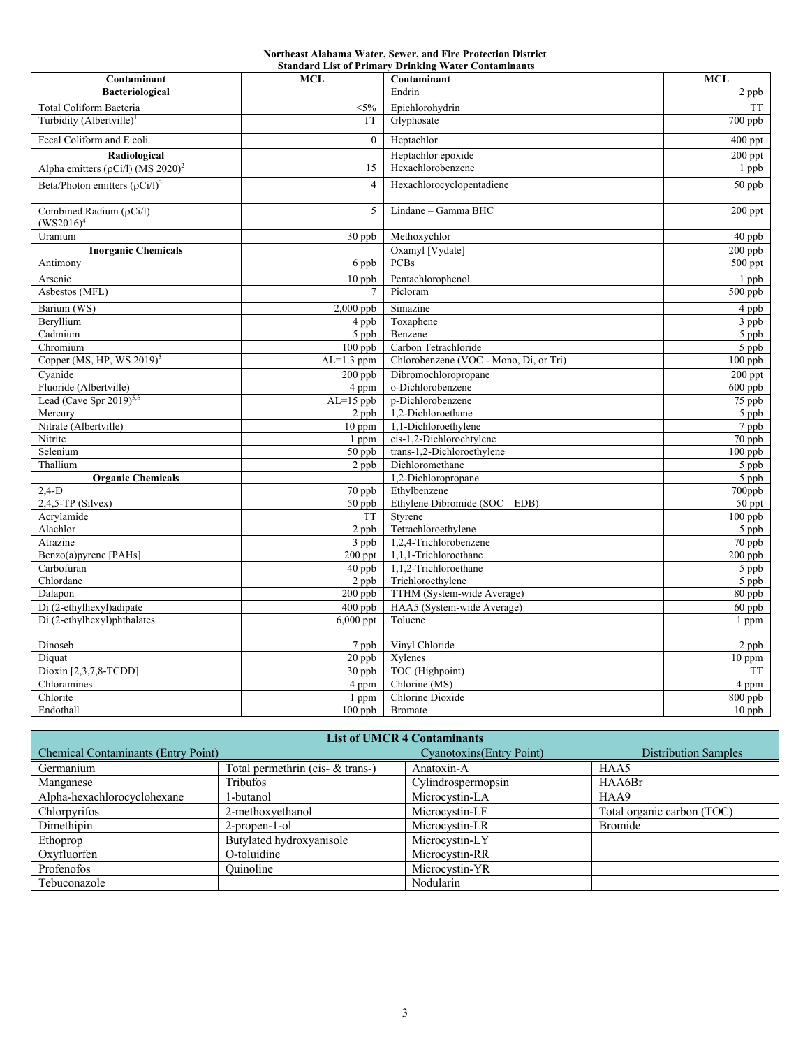# **Northeast Alabama Water, Sewer, and Fire Protection District**

| <b>Standard List of Primary Drinking Water Contaminants</b><br><b>MCL</b> |                |                                        |                      |  |  |  |  |  |  |  |
|---------------------------------------------------------------------------|----------------|----------------------------------------|----------------------|--|--|--|--|--|--|--|
| Contaminant                                                               | Contaminant    | MCL                                    |                      |  |  |  |  |  |  |  |
| <b>Bacteriological</b>                                                    |                | Endrin                                 | 2 ppb                |  |  |  |  |  |  |  |
| Total Coliform Bacteria                                                   | $<$ 5%         | Epichlorohydrin                        | TT                   |  |  |  |  |  |  |  |
| Turbidity (Albertville) <sup>1</sup>                                      | <b>TT</b>      | Glyphosate                             | 700 ppb              |  |  |  |  |  |  |  |
| Fecal Coliform and E.coli                                                 | $\mathbf{0}$   | Heptachlor                             | $400~\rm{ppt}$       |  |  |  |  |  |  |  |
| Radiological                                                              |                | Heptachlor epoxide                     | $200$ ppt            |  |  |  |  |  |  |  |
| Alpha emitters ( $\rho$ Ci/l) (MS 2020) <sup>2</sup>                      | 15             | Hexachlorobenzene                      | 1 ppb                |  |  |  |  |  |  |  |
| Beta/Photon emitters $(\rho Ci/l)^3$                                      | $\overline{4}$ | Hexachlorocyclopentadiene              | 50 ppb               |  |  |  |  |  |  |  |
| Combined Radium $(\rho Ci/l)$<br>$(WS2016)^4$                             | 5              | Lindane - Gamma BHC                    | $200$ ppt            |  |  |  |  |  |  |  |
| Uranium                                                                   | $30$ ppb       | Methoxychlor                           | 40 ppb               |  |  |  |  |  |  |  |
| <b>Inorganic Chemicals</b>                                                |                | Oxamyl [Vydate]                        | $200$ ppb            |  |  |  |  |  |  |  |
| Antimony                                                                  | 6 ppb          | <b>PCBs</b>                            | 500 ppt              |  |  |  |  |  |  |  |
| Arsenic                                                                   | $10$ ppb       | Pentachlorophenol                      | 1 ppb                |  |  |  |  |  |  |  |
| Asbestos (MFL)                                                            |                | Picloram                               | $500$ ppb            |  |  |  |  |  |  |  |
| Barium (WS)                                                               | $2,000$ ppb    | Simazine                               | 4 ppb                |  |  |  |  |  |  |  |
| Beryllium                                                                 | 4 ppb          | Toxaphene                              | 3 ppb                |  |  |  |  |  |  |  |
| Cadmium                                                                   | 5 ppb          | Benzene                                | 5 ppb                |  |  |  |  |  |  |  |
| Chromium                                                                  | $100$ ppb      | Carbon Tetrachloride                   | 5 ppb                |  |  |  |  |  |  |  |
| Copper (MS, HP, WS $2019$ ) <sup>5</sup>                                  | $AL=1.3$ ppm   | Chlorobenzene (VOC - Mono, Di, or Tri) | $100$ ppb            |  |  |  |  |  |  |  |
| Cyanide                                                                   | $200$ ppb      | Dibromochloropropane                   | $200$ ppt            |  |  |  |  |  |  |  |
| Fluoride (Albertville)                                                    | 4 ppm          | o-Dichlorobenzene                      | $600$ ppb            |  |  |  |  |  |  |  |
| Lead (Cave Spr $2019$ ) <sup>5,6</sup>                                    | $AL=15$ ppb    | p-Dichlorobenzene                      | 75 ppb               |  |  |  |  |  |  |  |
| Mercury                                                                   | 2 ppb          | 1,2-Dichloroethane                     | 5 ppb                |  |  |  |  |  |  |  |
| Nitrate (Albertville)                                                     | 10 ppm         | 1,1-Dichloroethylene                   | 7 ppb                |  |  |  |  |  |  |  |
| Nitrite                                                                   | 1 ppm          | cis-1,2-Dichloroehtylene               | 70 ppb               |  |  |  |  |  |  |  |
| Selenium                                                                  | $50$ ppb       | trans-1,2-Dichloroethylene             | $100$ ppb            |  |  |  |  |  |  |  |
| Thallium                                                                  | 2 ppb          | Dichloromethane                        | 5 ppb                |  |  |  |  |  |  |  |
| <b>Organic Chemicals</b>                                                  |                | 1,2-Dichloropropane                    | 5 ppb                |  |  |  |  |  |  |  |
| $2,4-D$                                                                   | $70$ ppb       | Ethylbenzene                           | 700ppb               |  |  |  |  |  |  |  |
| $2,4,5$ -TP (Silvex)                                                      | $50$ ppb       | Ethylene Dibromide (SOC - EDB)         | 50 ppt               |  |  |  |  |  |  |  |
| Acrylamide                                                                | <b>TT</b>      | Styrene                                | $\overline{100}$ ppb |  |  |  |  |  |  |  |
| Alachlor                                                                  | $2$ ppb        | Tetrachloroethylene                    | 5 ppb                |  |  |  |  |  |  |  |
| Atrazine                                                                  | 3 ppb          | 1,2,4-Trichlorobenzene                 | 70 ppb               |  |  |  |  |  |  |  |
| Benzo(a)pyrene [PAHs]                                                     | 200 ppt        | 1,1,1-Trichloroethane                  | $200$ ppb            |  |  |  |  |  |  |  |
| Carbofuran                                                                | 40 ppb         | 1,1,2-Trichloroethane                  | 5 ppb                |  |  |  |  |  |  |  |
| Chlordane                                                                 | $2$ ppb        | Trichloroethylene                      | 5 ppb                |  |  |  |  |  |  |  |
| Dalapon                                                                   | $200$ ppb      | TTHM (System-wide Average)             | 80 ppb               |  |  |  |  |  |  |  |
| Di (2-ethylhexyl) adipate                                                 | $400$ ppb      | HAA5 (System-wide Average)             | $60$ ppb             |  |  |  |  |  |  |  |
| Di (2-ethylhexyl)phthalates                                               | $6,000$ ppt    | Toluene                                | 1 ppm                |  |  |  |  |  |  |  |
| Dinoseb                                                                   | 7 ppb          | Vinyl Chloride                         | $\overline{2}$ ppb   |  |  |  |  |  |  |  |
| Diquat                                                                    | $20$ ppb       | Xylenes                                | $10$ ppm             |  |  |  |  |  |  |  |
| Dioxin [2,3,7,8-TCDD]                                                     | 30 ppb         | TOC (Highpoint)                        | TT                   |  |  |  |  |  |  |  |
| Chloramines                                                               | 4 ppm          | Chlorine (MS)                          | 4 ppm                |  |  |  |  |  |  |  |
| Chlorite                                                                  | 1 ppm          | Chlorine Dioxide                       | 800 ppb              |  |  |  |  |  |  |  |
| Endothall                                                                 | $100$ ppb      | <b>Bromate</b>                         | $10$ ppb             |  |  |  |  |  |  |  |

| <b>List of UMCR 4 Contaminants</b>         |                                  |                                  |                             |  |  |  |  |  |  |  |
|--------------------------------------------|----------------------------------|----------------------------------|-----------------------------|--|--|--|--|--|--|--|
| <b>Chemical Contaminants (Entry Point)</b> |                                  | <b>Cyanotoxins</b> (Entry Point) | <b>Distribution Samples</b> |  |  |  |  |  |  |  |
| Germanium                                  | Total permethrin (cis- & trans-) | Anatoxin-A                       | HAA5                        |  |  |  |  |  |  |  |
| Manganese                                  | Tribufos                         | Cylindrospermopsin               | HAA6Br                      |  |  |  |  |  |  |  |
| Alpha-hexachlorocyclohexane                | 1-butanol                        | Microcystin-LA                   | HAA9                        |  |  |  |  |  |  |  |
| Chlorpyrifos                               | 2-methoxyethanol                 | Microcystin-LF                   | Total organic carbon (TOC)  |  |  |  |  |  |  |  |
| Dimethipin                                 | 2-propen-1-ol                    | Microcystin-LR                   | Bromide                     |  |  |  |  |  |  |  |
| Ethoprop                                   | Butylated hydroxyanisole         | Microcystin-LY                   |                             |  |  |  |  |  |  |  |
| Oxvfluorfen                                | O-toluidine                      | Microcystin-RR                   |                             |  |  |  |  |  |  |  |
| Profenofos                                 | Quinoline                        | Microcystin-YR                   |                             |  |  |  |  |  |  |  |
| Tebuconazole                               |                                  | Nodularin                        |                             |  |  |  |  |  |  |  |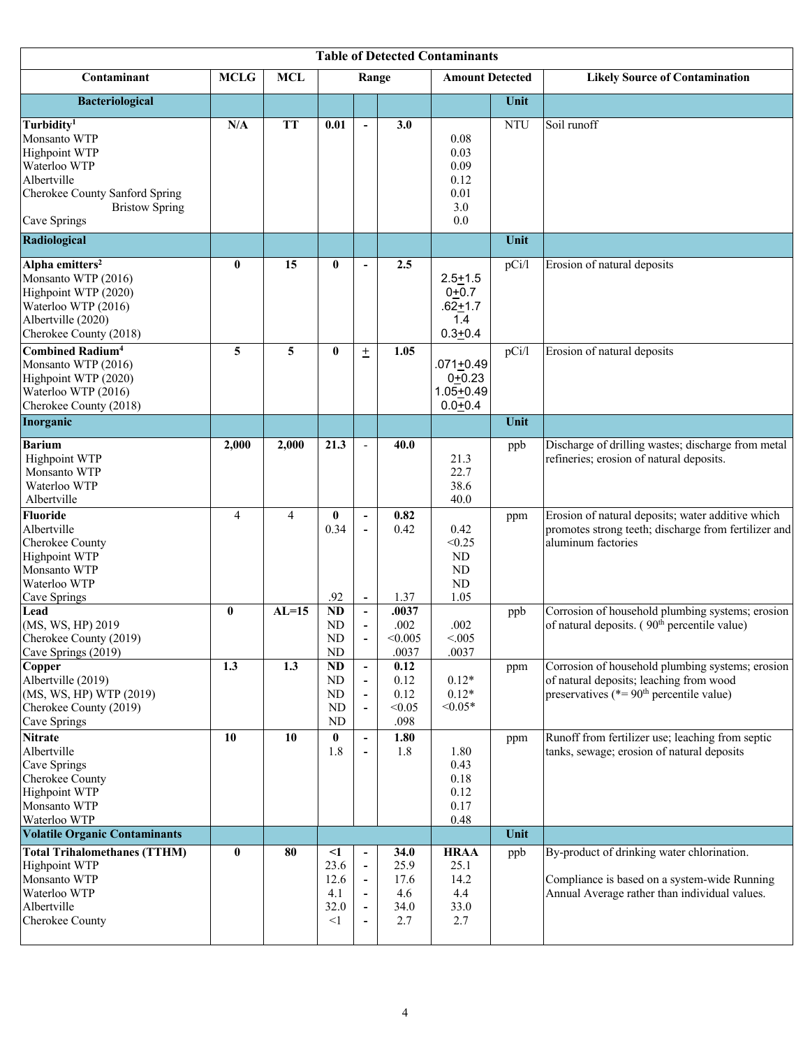| <b>Table of Detected Contaminants</b>                                                                                                                                    |                |                |                                                     |                                                                                      |                                            |                                                             |            |                                                                                                                                             |  |
|--------------------------------------------------------------------------------------------------------------------------------------------------------------------------|----------------|----------------|-----------------------------------------------------|--------------------------------------------------------------------------------------|--------------------------------------------|-------------------------------------------------------------|------------|---------------------------------------------------------------------------------------------------------------------------------------------|--|
| Contaminant                                                                                                                                                              | <b>MCLG</b>    | <b>MCL</b>     |                                                     | Range                                                                                |                                            | <b>Amount Detected</b>                                      |            | <b>Likely Source of Contamination</b>                                                                                                       |  |
| <b>Bacteriological</b>                                                                                                                                                   |                |                |                                                     |                                                                                      |                                            |                                                             | Unit       |                                                                                                                                             |  |
| Turbidity <sup>1</sup><br>Monsanto WTP<br><b>Highpoint WTP</b><br>Waterloo WTP<br>Albertville<br>Cherokee County Sanford Spring<br><b>Bristow Spring</b><br>Cave Springs | N/A            | <b>TT</b>      | 0.01                                                | $\blacksquare$                                                                       | 3.0                                        | 0.08<br>0.03<br>0.09<br>0.12<br>0.01<br>3.0<br>0.0          | <b>NTU</b> | Soil runoff                                                                                                                                 |  |
| Radiological                                                                                                                                                             |                |                |                                                     |                                                                                      |                                            |                                                             | Unit       |                                                                                                                                             |  |
| Alpha emitters <sup>2</sup><br>Monsanto WTP (2016)<br>Highpoint WTP (2020)<br>Waterloo WTP (2016)<br>Albertville (2020)<br>Cherokee County (2018)                        | $\bf{0}$       | 15             | $\bf{0}$                                            | $\overline{\phantom{a}}$                                                             | 2.5                                        | $2.5 + 1.5$<br>$0+0.7$<br>$.62 + 1.7$<br>1.4<br>$0.3 + 0.4$ | pCi/l      | Erosion of natural deposits                                                                                                                 |  |
| <b>Combined Radium<sup>4</sup></b><br>Monsanto WTP (2016)<br>Highpoint WTP (2020)<br>Waterloo WTP (2016)<br>Cherokee County (2018)                                       | 5              | 5              | $\bf{0}$                                            | $\pm$                                                                                | 1.05                                       | $.071 + 0.49$<br>$0+0.23$<br>$1.05 + 0.49$<br>$0.0 + 0.4$   | pCi/l      | Erosion of natural deposits                                                                                                                 |  |
| Inorganic                                                                                                                                                                |                |                |                                                     |                                                                                      |                                            |                                                             | Unit       |                                                                                                                                             |  |
| <b>Barium</b><br><b>Highpoint WTP</b><br>Monsanto WTP<br>Waterloo WTP<br>Albertville                                                                                     | 2,000          | 2,000          | 21.3                                                | $\overline{\phantom{a}}$                                                             | 40.0                                       | 21.3<br>22.7<br>38.6<br>40.0                                | ppb        | Discharge of drilling wastes; discharge from metal<br>refineries; erosion of natural deposits.                                              |  |
| <b>Fluoride</b><br>Albertville<br>Cherokee County<br>Highpoint WTP<br>Monsanto WTP<br>Waterloo WTP<br>Cave Springs                                                       | $\overline{4}$ | $\overline{4}$ | $\bf{0}$<br>0.34<br>.92                             | $\overline{\phantom{a}}$<br>$\overline{\phantom{a}}$<br>$\overline{\phantom{a}}$     | 0.82<br>0.42<br>1.37                       | 0.42<br>< 0.25<br>ND<br>ND<br>ND<br>1.05                    | ppm        | Erosion of natural deposits; water additive which<br>promotes strong teeth; discharge from fertilizer and<br>aluminum factories             |  |
| Lead<br>(MS, WS, HP) 2019<br>Cherokee County (2019)<br>Cave Springs (2019)                                                                                               | $\bf{0}$       | $AL=15$        | ND<br>N <sub>D</sub><br>${\rm ND}$<br>${\rm ND}$    | $\overline{\phantom{a}}$                                                             | .0037<br>.002<br>< 0.005<br>.0037          | .002<br>< 0.005<br>.0037                                    | ppb        | Corrosion of household plumbing systems; erosion<br>of natural deposits. $(90th$ percentile value)                                          |  |
| Copper<br>Albertville (2019)<br>(MS, WS, HP) WTP (2019)<br>Cherokee County (2019)<br>Cave Springs                                                                        | 1.3            | 1.3            | <b>ND</b><br>ND<br>ND<br>ND<br>ND                   | $\overline{\phantom{a}}$                                                             | 0.12<br>0.12<br>0.12<br>< 0.05<br>.098     | $0.12*$<br>$0.12*$<br>$< 0.05*$                             | ppm        | Corrosion of household plumbing systems; erosion<br>of natural deposits; leaching from wood<br>preservatives ( $* = 90th$ percentile value) |  |
| <b>Nitrate</b><br>Albertville<br>Cave Springs<br>Cherokee County<br><b>Highpoint WTP</b><br>Monsanto WTP<br>Waterloo WTP                                                 | 10             | 10             | $\bf{0}$<br>1.8                                     | $\overline{\phantom{a}}$                                                             | 1.80<br>1.8                                | 1.80<br>0.43<br>0.18<br>0.12<br>0.17<br>0.48                | ppm        | Runoff from fertilizer use; leaching from septic<br>tanks, sewage; erosion of natural deposits                                              |  |
| <b>Volatile Organic Contaminants</b>                                                                                                                                     |                |                |                                                     |                                                                                      |                                            |                                                             | Unit       |                                                                                                                                             |  |
| <b>Total Trihalomethanes (TTHM)</b><br><b>Highpoint WTP</b><br>Monsanto WTP<br>Waterloo WTP<br>Albertville<br>Cherokee County                                            | $\bf{0}$       | 80             | $\leq$ 1<br>23.6<br>12.6<br>4.1<br>32.0<br>$\leq$ 1 | $\overline{\phantom{a}}$<br>$\qquad \qquad \blacksquare$<br>$\overline{\phantom{a}}$ | 34.0<br>25.9<br>17.6<br>4.6<br>34.0<br>2.7 | <b>HRAA</b><br>25.1<br>14.2<br>4.4<br>33.0<br>2.7           | ppb        | By-product of drinking water chlorination.<br>Compliance is based on a system-wide Running<br>Annual Average rather than individual values. |  |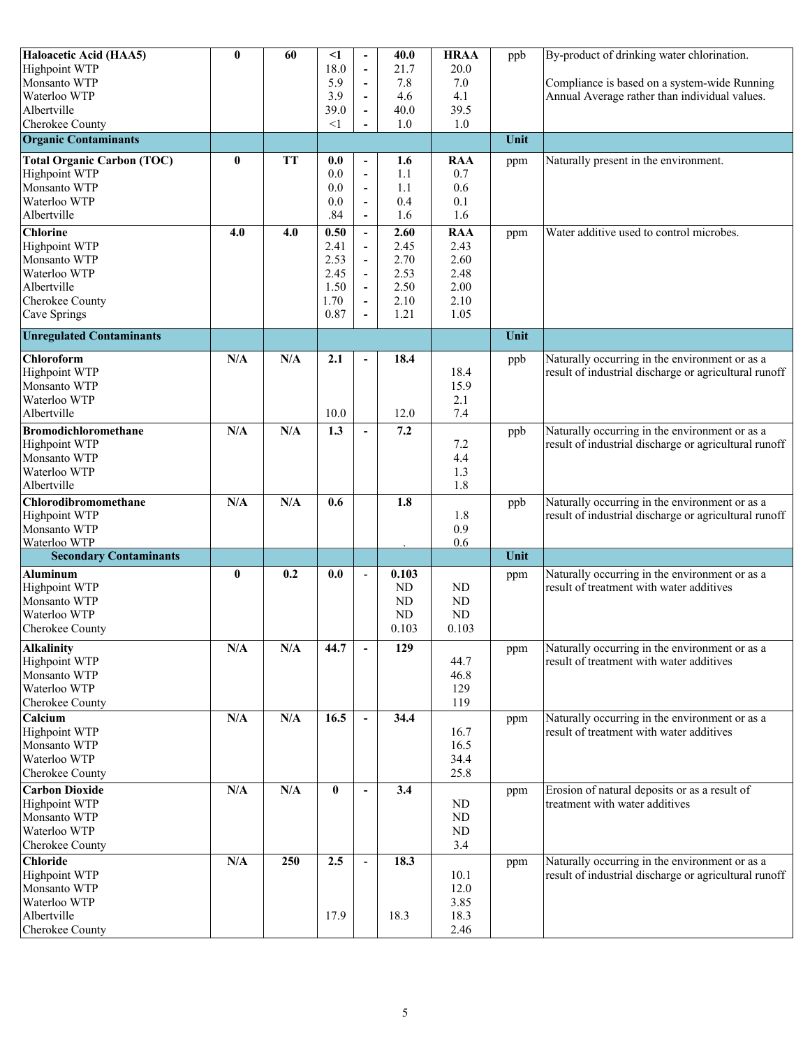| Haloacetic Acid (HAA5)                  | $\bf{0}$ | 60        | $\leq$ 1 | $\overline{\phantom{a}}$     | 40.0       | <b>HRAA</b>  | ppb  | By-product of drinking water chlorination.                                                              |
|-----------------------------------------|----------|-----------|----------|------------------------------|------------|--------------|------|---------------------------------------------------------------------------------------------------------|
| <b>Highpoint WTP</b>                    |          |           | 18.0     |                              | 21.7       | 20.0         |      |                                                                                                         |
| Monsanto WTP                            |          |           | 5.9      | $\overline{\phantom{a}}$     | 7.8        | 7.0          |      | Compliance is based on a system-wide Running                                                            |
| Waterloo WTP                            |          |           | 3.9      | $\overline{\phantom{a}}$     | 4.6        | 4.1          |      | Annual Average rather than individual values.                                                           |
| Albertville                             |          |           | 39.0     |                              | 40.0       | 39.5         |      |                                                                                                         |
| Cherokee County                         |          |           | $\leq$ 1 |                              | 1.0        | 1.0          |      |                                                                                                         |
| <b>Organic Contaminants</b>             |          |           |          |                              |            |              | Unit |                                                                                                         |
| <b>Total Organic Carbon (TOC)</b>       | $\bf{0}$ | <b>TT</b> | 0.0      | $\overline{\phantom{a}}$     | 1.6        | <b>RAA</b>   | ppm  | Naturally present in the environment.                                                                   |
| <b>Highpoint WTP</b>                    |          |           | 0.0      | $\overline{\phantom{a}}$     | 1.1        | 0.7          |      |                                                                                                         |
| Monsanto WTP                            |          |           | 0.0      | $\overline{\phantom{a}}$     | 1.1        | 0.6          |      |                                                                                                         |
| Waterloo WTP                            |          |           | 0.0      | $\overline{\phantom{a}}$     | 0.4        | 0.1          |      |                                                                                                         |
| Albertville                             |          |           | .84      | $\overline{\phantom{a}}$     | 1.6        | 1.6          |      |                                                                                                         |
| <b>Chlorine</b>                         | 4.0      | 4.0       | 0.50     | $\overline{a}$               | 2.60       | <b>RAA</b>   | ppm  | Water additive used to control microbes.                                                                |
| Highpoint WTP                           |          |           | 2.41     | $\overline{\phantom{a}}$     | 2.45       | 2.43         |      |                                                                                                         |
| Monsanto WTP                            |          |           | 2.53     | $\overline{\phantom{a}}$     | 2.70       | 2.60         |      |                                                                                                         |
| Waterloo WTP                            |          |           | 2.45     | $\overline{a}$               | 2.53       | 2.48         |      |                                                                                                         |
| Albertville                             |          |           | 1.50     | $\overline{\phantom{a}}$     | 2.50       | 2.00         |      |                                                                                                         |
| Cherokee County                         |          |           | 1.70     | $\qquad \qquad \blacksquare$ | 2.10       | 2.10         |      |                                                                                                         |
|                                         |          |           | 0.87     | $\frac{1}{2}$                | 1.21       | 1.05         |      |                                                                                                         |
| Cave Springs                            |          |           |          |                              |            |              |      |                                                                                                         |
| <b>Unregulated Contaminants</b>         |          |           |          |                              |            |              | Unit |                                                                                                         |
| Chloroform                              | N/A      | N/A       | 2.1      | $\overline{\phantom{a}}$     | 18.4       |              | ppb  | Naturally occurring in the environment or as a                                                          |
| <b>Highpoint WTP</b>                    |          |           |          |                              |            | 18.4         |      | result of industrial discharge or agricultural runoff                                                   |
| Monsanto WTP                            |          |           |          |                              |            | 15.9         |      |                                                                                                         |
| Waterloo WTP                            |          |           |          |                              |            | 2.1          |      |                                                                                                         |
| Albertville                             |          |           | 10.0     |                              | 12.0       | 7.4          |      |                                                                                                         |
| <b>Bromodichloromethane</b>             | N/A      | N/A       | 1.3      | $\blacksquare$               | 7.2        |              | ppb  | Naturally occurring in the environment or as a                                                          |
| <b>Highpoint WTP</b>                    |          |           |          |                              |            | 7.2          |      | result of industrial discharge or agricultural runoff                                                   |
| Monsanto WTP                            |          |           |          |                              |            | 4.4          |      |                                                                                                         |
| Waterloo WTP                            |          |           |          |                              |            | 1.3          |      |                                                                                                         |
| Albertville                             |          |           |          |                              |            | 1.8          |      |                                                                                                         |
| Chlorodibromomethane                    | N/A      | N/A       | 0.6      |                              | 1.8        |              | ppb  | Naturally occurring in the environment or as a                                                          |
| <b>Highpoint WTP</b>                    |          |           |          |                              |            | 1.8          |      | result of industrial discharge or agricultural runoff                                                   |
| Monsanto WTP                            |          |           |          |                              |            | 0.9          |      |                                                                                                         |
| Waterloo WTP                            |          |           |          |                              |            | 0.6          |      |                                                                                                         |
| <b>Secondary Contaminants</b>           |          |           |          |                              |            |              | Unit |                                                                                                         |
| <b>Aluminum</b>                         | 0        | 0.2       | 0.0      | $\overline{a}$               | 0.103      |              | ppm  | Naturally occurring in the environment or as a                                                          |
| <b>Highpoint WTP</b>                    |          |           |          |                              | ${\rm ND}$ | ND           |      | result of treatment with water additives                                                                |
| Monsanto WTP                            |          |           |          |                              | ND         | ND           |      |                                                                                                         |
| Waterloo WTP                            |          |           |          |                              | ${\rm ND}$ | ND           |      |                                                                                                         |
| Cherokee County                         |          |           |          |                              | 0.103      | 0.103        |      |                                                                                                         |
|                                         |          |           |          |                              |            |              |      |                                                                                                         |
| <b>Alkalinity</b>                       | N/A      | N/A       | 44.7     |                              | 129        |              | ppm  | Naturally occurring in the environment or as a                                                          |
| <b>Highpoint WTP</b>                    |          |           |          |                              |            | 44.7         |      | result of treatment with water additives                                                                |
| Monsanto WTP                            |          |           |          |                              |            | 46.8         |      |                                                                                                         |
| Waterloo WTP                            |          |           |          |                              |            | 129          |      |                                                                                                         |
| Cherokee County                         |          |           |          |                              |            | 119          |      |                                                                                                         |
| Calcium                                 | N/A      | N/A       | 16.5     | $\blacksquare$               | 34.4       |              | ppm  | Naturally occurring in the environment or as a                                                          |
| Highpoint WTP                           |          |           |          |                              |            | 16.7         |      | result of treatment with water additives                                                                |
| Monsanto WTP                            |          |           |          |                              |            | 16.5         |      |                                                                                                         |
| Waterloo WTP                            |          |           |          |                              |            | 34.4         |      |                                                                                                         |
| Cherokee County                         |          |           |          |                              |            | 25.8         |      |                                                                                                         |
| <b>Carbon Dioxide</b>                   | N/A      | N/A       | $\bf{0}$ | $\overline{\phantom{a}}$     | 3.4        |              | ppm  | Erosion of natural deposits or as a result of                                                           |
| <b>Highpoint WTP</b>                    |          |           |          |                              |            | ND           |      | treatment with water additives                                                                          |
| Monsanto WTP                            |          |           |          |                              |            | $\rm ND$     |      |                                                                                                         |
| Waterloo WTP                            |          |           |          |                              |            | ND           |      |                                                                                                         |
| Cherokee County                         |          |           |          |                              |            | 3.4          |      |                                                                                                         |
|                                         | N/A      | 250       | 2.5      | $\blacksquare$               | 18.3       |              |      |                                                                                                         |
| <b>Chloride</b><br><b>Highpoint WTP</b> |          |           |          |                              |            |              | ppm  | Naturally occurring in the environment or as a<br>result of industrial discharge or agricultural runoff |
| Monsanto WTP                            |          |           |          |                              |            | 10.1<br>12.0 |      |                                                                                                         |
| Waterloo WTP                            |          |           |          |                              |            | 3.85         |      |                                                                                                         |
| Albertville                             |          |           | 17.9     |                              | 18.3       | 18.3         |      |                                                                                                         |
|                                         |          |           |          |                              |            | 2.46         |      |                                                                                                         |
| Cherokee County                         |          |           |          |                              |            |              |      |                                                                                                         |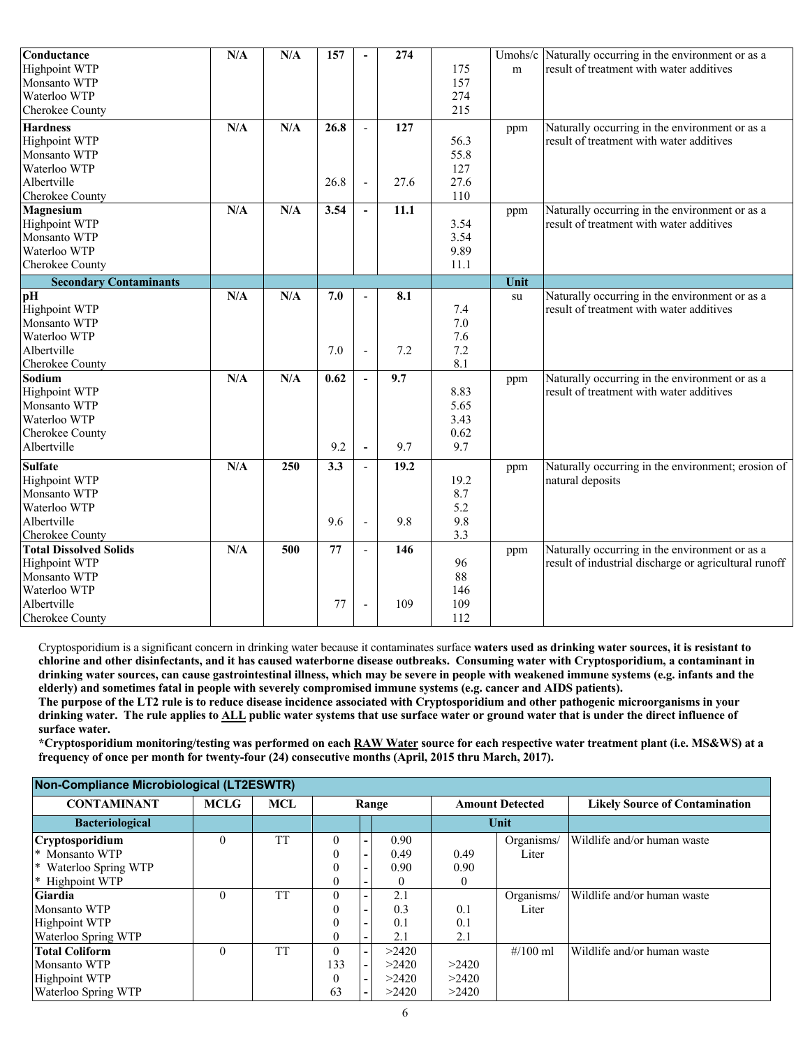| Conductance                   | N/A | N/A | 157              | $\overline{\phantom{0}}$ | 274  |      |      | Umohs/c Naturally occurring in the environment or as a |
|-------------------------------|-----|-----|------------------|--------------------------|------|------|------|--------------------------------------------------------|
| Highpoint WTP                 |     |     |                  |                          |      | 175  | m    | result of treatment with water additives               |
| Monsanto WTP                  |     |     |                  |                          |      | 157  |      |                                                        |
| Waterloo WTP                  |     |     |                  |                          |      | 274  |      |                                                        |
| Cherokee County               |     |     |                  |                          |      | 215  |      |                                                        |
| <b>Hardness</b>               | N/A | N/A | 26.8             | $\overline{a}$           | 127  |      | ppm  | Naturally occurring in the environment or as a         |
| <b>Highpoint WTP</b>          |     |     |                  |                          |      | 56.3 |      | result of treatment with water additives               |
| Monsanto WTP                  |     |     |                  |                          |      | 55.8 |      |                                                        |
| Waterloo WTP                  |     |     |                  |                          |      | 127  |      |                                                        |
| Albertville                   |     |     | 26.8             | $\overline{a}$           | 27.6 | 27.6 |      |                                                        |
| Cherokee County               |     |     |                  |                          |      | 110  |      |                                                        |
| Magnesium                     | N/A | N/A | 3.54             | $\overline{\phantom{a}}$ | 11.1 |      | ppm  | Naturally occurring in the environment or as a         |
| Highpoint WTP                 |     |     |                  |                          |      | 3.54 |      | result of treatment with water additives               |
| Monsanto WTP                  |     |     |                  |                          |      | 3.54 |      |                                                        |
| Waterloo WTP                  |     |     |                  |                          |      | 9.89 |      |                                                        |
| Cherokee County               |     |     |                  |                          |      | 11.1 |      |                                                        |
| <b>Secondary Contaminants</b> |     |     |                  |                          |      |      | Unit |                                                        |
| pH                            | N/A | N/A | 7.0              | $\overline{a}$           | 8.1  |      | su   | Naturally occurring in the environment or as a         |
| Highpoint WTP                 |     |     |                  |                          |      | 7.4  |      | result of treatment with water additives               |
| Monsanto WTP                  |     |     |                  |                          |      | 7.0  |      |                                                        |
| Waterloo WTP                  |     |     |                  |                          |      | 7.6  |      |                                                        |
| Albertville                   |     |     | 7.0              | $\frac{1}{2}$            | 7.2  | 7.2  |      |                                                        |
| Cherokee County               |     |     |                  |                          |      | 8.1  |      |                                                        |
| Sodium                        | N/A | N/A | 0.62             | $\sim$                   | 9.7  |      | ppm  | Naturally occurring in the environment or as a         |
| <b>Highpoint WTP</b>          |     |     |                  |                          |      | 8.83 |      | result of treatment with water additives               |
| Monsanto WTP                  |     |     |                  |                          |      | 5.65 |      |                                                        |
| Waterloo WTP                  |     |     |                  |                          |      | 3.43 |      |                                                        |
| Cherokee County               |     |     |                  |                          |      | 0.62 |      |                                                        |
| Albertville                   |     |     | 9.2              | $\blacksquare$           | 9.7  | 9.7  |      |                                                        |
| <b>Sulfate</b>                | N/A | 250 | $\overline{3.3}$ | $\overline{\phantom{a}}$ | 19.2 |      | ppm  | Naturally occurring in the environment; erosion of     |
| Highpoint WTP                 |     |     |                  |                          |      | 19.2 |      | natural deposits                                       |
| Monsanto WTP                  |     |     |                  |                          |      | 8.7  |      |                                                        |
| Waterloo WTP                  |     |     |                  |                          |      | 5.2  |      |                                                        |
| Albertville                   |     |     | 9.6              | $\frac{1}{2}$            | 9.8  | 9.8  |      |                                                        |
| Cherokee County               |     |     |                  |                          |      | 3.3  |      |                                                        |
| <b>Total Dissolved Solids</b> | N/A | 500 | 77               | $\sim$                   | 146  |      | ppm  | Naturally occurring in the environment or as a         |
| <b>Highpoint WTP</b>          |     |     |                  |                          |      | 96   |      | result of industrial discharge or agricultural runoff  |
| Monsanto WTP                  |     |     |                  |                          |      | 88   |      |                                                        |
| Waterloo WTP                  |     |     |                  |                          |      | 146  |      |                                                        |
| Albertville                   |     |     | 77               | $\overline{a}$           | 109  | 109  |      |                                                        |
| Cherokee County               |     |     |                  |                          |      | 112  |      |                                                        |

Cryptosporidium is a significant concern in drinking water because it contaminates surface **waters used as drinking water sources, it is resistant to chlorine and other disinfectants, and it has caused waterborne disease outbreaks. Consuming water with Cryptosporidium, a contaminant in drinking water sources, can cause gastrointestinal illness, which may be severe in people with weakened immune systems (e.g. infants and the elderly) and sometimes fatal in people with severely compromised immune systems (e.g. cancer and AIDS patients).**

**The purpose of the LT2 rule is to reduce disease incidence associated with Cryptosporidium and other pathogenic microorganisms in your drinking water. The rule applies to ALL public water systems that use surface water or ground water that is under the direct influence of surface water.**

**\*Cryptosporidium monitoring/testing was performed on each RAW Water source for each respective water treatment plant (i.e. MS&WS) at a frequency of once per month for twenty-four (24) consecutive months (April, 2015 thru March, 2017).**

| $\mu$ on-Compliance micropiological (LTZLOWTIN) |             |            |          |  |                        |          |                                       |                             |  |  |
|-------------------------------------------------|-------------|------------|----------|--|------------------------|----------|---------------------------------------|-----------------------------|--|--|
| <b>CONTAMINANT</b>                              | <b>MCLG</b> | <b>MCL</b> | Range    |  | <b>Amount Detected</b> |          | <b>Likely Source of Contamination</b> |                             |  |  |
| <b>Bacteriological</b>                          |             |            |          |  |                        |          | Unit                                  |                             |  |  |
| <b>Cryptosporidium</b>                          | 0           | <b>TT</b>  |          |  | 0.90                   |          | Organisms/                            | Wildlife and/or human waste |  |  |
| <sup>*</sup> Monsanto WTP                       |             |            |          |  | 0.49                   | 0.49     | Liter                                 |                             |  |  |
| * Waterloo Spring WTP                           |             |            |          |  | 0.90                   | 0.90     |                                       |                             |  |  |
| * Highpoint WTP                                 |             |            |          |  |                        | $\theta$ |                                       |                             |  |  |
| <b>Giardia</b>                                  | $\Omega$    | <b>TT</b>  | 0        |  | 2.1                    |          | Organisms/                            | Wildlife and/or human waste |  |  |
| Monsanto WTP                                    |             |            |          |  | 0.3                    | 0.1      | Liter                                 |                             |  |  |
| <b>Highpoint WTP</b>                            |             |            |          |  | 0.1                    | 0.1      |                                       |                             |  |  |
| Waterloo Spring WTP                             |             |            |          |  | 2.1                    | 2.1      |                                       |                             |  |  |
| <b>Total Coliform</b>                           | $\theta$    | <b>TT</b>  | $\Omega$ |  | >2420                  |          | # $/100$ ml                           | Wildlife and/or human waste |  |  |
| Monsanto WTP                                    |             |            | 133      |  | >2420                  | >2420    |                                       |                             |  |  |
| <b>Highpoint WTP</b>                            |             |            |          |  | >2420                  | >2420    |                                       |                             |  |  |
| Waterloo Spring WTP                             |             |            | 63       |  | >2420                  | >2420    |                                       |                             |  |  |

# **Non-Compliance Microbiological (LT2ESWTR)**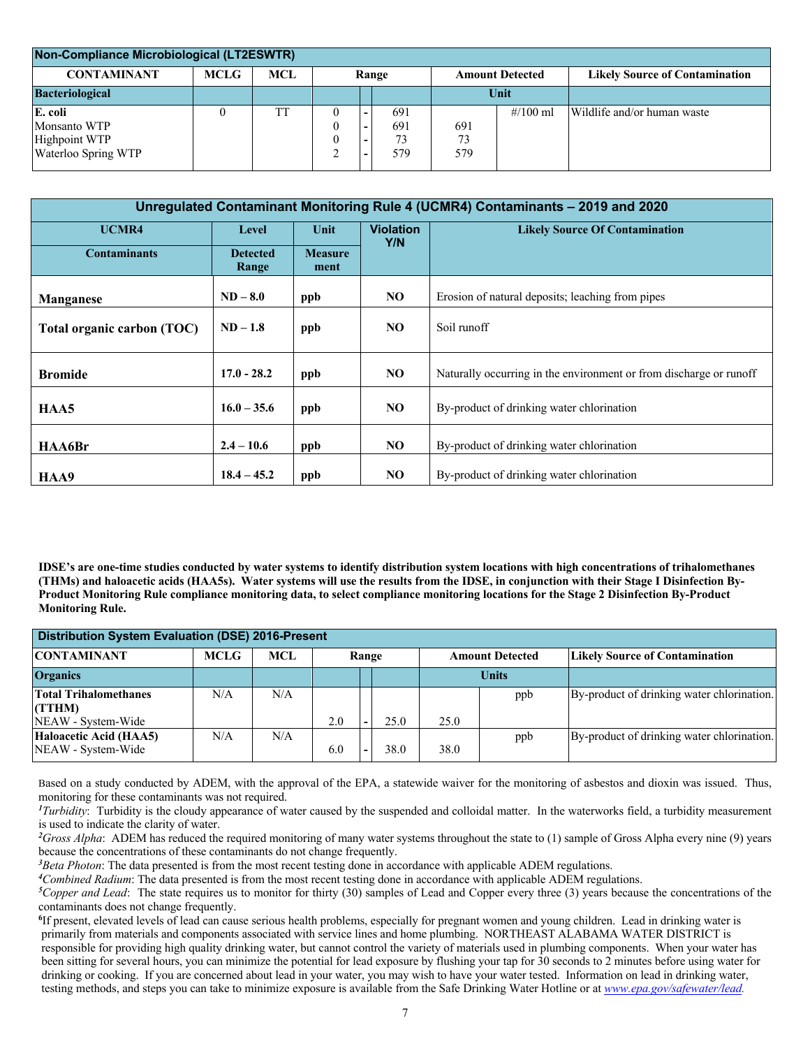| Non-Compliance Microbiological (LT2ESWTR)                       |             |     |       |  |                         |            |                                       |                             |  |
|-----------------------------------------------------------------|-------------|-----|-------|--|-------------------------|------------|---------------------------------------|-----------------------------|--|
| <b>CONTAMINANT</b>                                              | <b>MCLG</b> | MCL | Range |  | <b>Amount Detected</b>  |            | <b>Likely Source of Contamination</b> |                             |  |
| <b>Bacteriological</b>                                          |             |     |       |  |                         | Unit       |                                       |                             |  |
| E. coli<br>Monsanto WTP<br>Highpoint WTP<br>Waterloo Spring WTP |             | TT  |       |  | 691<br>691<br>73<br>579 | 691<br>579 | $\frac{\#}{100}$ ml                   | Wildlife and/or human waste |  |

| Unregulated Contaminant Monitoring Rule 4 (UCMR4) Contaminants - 2019 and 2020 |                          |                        |                  |                                                                    |  |  |  |  |  |  |
|--------------------------------------------------------------------------------|--------------------------|------------------------|------------------|--------------------------------------------------------------------|--|--|--|--|--|--|
| UCMR4                                                                          | Level                    | Unit                   | <b>Violation</b> | <b>Likely Source Of Contamination</b>                              |  |  |  |  |  |  |
| <b>Contaminants</b>                                                            | <b>Detected</b><br>Range | <b>Measure</b><br>ment | Y/N              |                                                                    |  |  |  |  |  |  |
| <b>Manganese</b>                                                               | $ND-8.0$                 | ppb                    | NO.              | Erosion of natural deposits; leaching from pipes                   |  |  |  |  |  |  |
| Total organic carbon (TOC)                                                     | $ND-1.8$                 | ppb                    | NO.              | Soil runoff                                                        |  |  |  |  |  |  |
| <b>Bromide</b>                                                                 | $17.0 - 28.2$            | ppb                    | NO.              | Naturally occurring in the environment or from discharge or runoff |  |  |  |  |  |  |
| HAA5                                                                           | $16.0 - 35.6$            | ppb                    | NO               | By-product of drinking water chlorination                          |  |  |  |  |  |  |
| HAA6Br                                                                         | $2.4 - 10.6$             | ppb                    | NO               | By-product of drinking water chlorination                          |  |  |  |  |  |  |
| HAA9                                                                           | $18.4 - 45.2$            | ppb                    | NO.              | By-product of drinking water chlorination                          |  |  |  |  |  |  |

**IDSE's are one-time studies conducted by water systems to identify distribution system locations with high concentrations of trihalomethanes (THMs) and haloacetic acids (HAA5s). Water systems will use the results from the IDSE, in conjunction with their Stage I Disinfection By-Product Monitoring Rule compliance monitoring data, to select compliance monitoring locations for the Stage 2 Disinfection By-Product Monitoring Rule.**

| <b>Distribution System Evaluation (DSE) 2016-Present</b> |             |      |                                 |      |                        |              |                                            |  |  |  |
|----------------------------------------------------------|-------------|------|---------------------------------|------|------------------------|--------------|--------------------------------------------|--|--|--|
| <b>CONTAMINANT</b>                                       | <b>MCLG</b> | MCL. | Range                           |      | <b>Amount Detected</b> |              | <b>Likely Source of Contamination</b>      |  |  |  |
| <b>Organics</b>                                          |             |      |                                 |      |                        | <b>Units</b> |                                            |  |  |  |
| <b>Total Trihalomethanes</b><br>(TTHM)                   | N/A         | N/A  |                                 |      |                        | ppb          | By-product of drinking water chlorination. |  |  |  |
| NEAW - System-Wide                                       |             |      | 2.0<br>$\overline{\phantom{a}}$ | 25.0 | 25.0                   |              |                                            |  |  |  |
| Haloacetic Acid (HAA5)<br>NEAW - System-Wide             | N/A         | N/A  | 6.0                             | 38.0 | 38.0                   | ppb          | By-product of drinking water chlorination. |  |  |  |

Based on a study conducted by ADEM, with the approval of the EPA, a statewide waiver for the monitoring of asbestos and dioxin was issued. Thus, monitoring for these contaminants was not required.

*1 Turbidity*: Turbidity is the cloudy appearance of water caused by the suspended and colloidal matter. In the waterworks field, a turbidity measurement is used to indicate the clarity of water.

<sup>2</sup>Gross Alpha: ADEM has reduced the required monitoring of many water systems throughout the state to (1) sample of Gross Alpha every nine (9) years because the concentrations of these contaminants do not change frequently.

*3 Beta Photon*: The data presented is from the most recent testing done in accordance with applicable ADEM regulations.

*4 Combined Radium*: The data presented is from the most recent testing done in accordance with applicable ADEM regulations.

*5 Copper and Lead*: The state requires us to monitor for thirty (30) samples of Lead and Copper every three (3) years because the concentrations of the contaminants does not change frequently.

<sup>6</sup>If present, elevated levels of lead can cause serious health problems, especially for pregnant women and young children. Lead in drinking water is primarily from materials and components associated with service lines and home plumbing. NORTHEAST ALABAMA WATER DISTRICT is responsible for providing high quality drinking water, but cannot control the variety of materials used in plumbing components. When your water has been sitting for several hours, you can minimize the potential for lead exposure by flushing your tap for 30 seconds to 2 minutes before using water for drinking or cooking. If you are concerned about lead in your water, you may wish to have your water tested. Information on lead in drinking water, testing methods, and steps you can take to minimize exposure is available from the Safe Drinking Water Hotline or at *www.epa.gov/safewater/lead.*